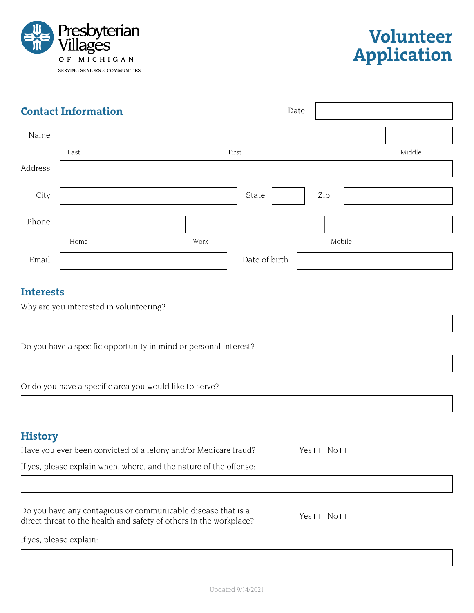



| <b>Contact Information</b>              |      |      | Date          |        |        |  |
|-----------------------------------------|------|------|---------------|--------|--------|--|
| Name                                    |      |      |               |        |        |  |
|                                         | Last |      | First         |        | Middle |  |
| Address                                 |      |      |               |        |        |  |
| City                                    |      |      | State         | Zip    |        |  |
| Phone                                   |      |      |               |        |        |  |
|                                         | Home | Work |               | Mobile |        |  |
| Email                                   |      |      | Date of birth |        |        |  |
| <b>Interests</b>                        |      |      |               |        |        |  |
| Why are you interested in volunteering? |      |      |               |        |        |  |

Do you have a specific opportunity in mind or personal interest?

Or do you have a specific area you would like to serve?

## **History**

| Have you ever been convicted of a felony and/or Medicare fraud?                                                                    | $N$ o $\square$<br>Yes $\Box$    |
|------------------------------------------------------------------------------------------------------------------------------------|----------------------------------|
| If yes, please explain when, where, and the nature of the offense:                                                                 |                                  |
|                                                                                                                                    |                                  |
| Do you have any contagious or communicable disease that is a<br>direct threat to the health and safety of others in the workplace? | No <sub>1</sub><br>Yes $\square$ |

If yes, please explain: